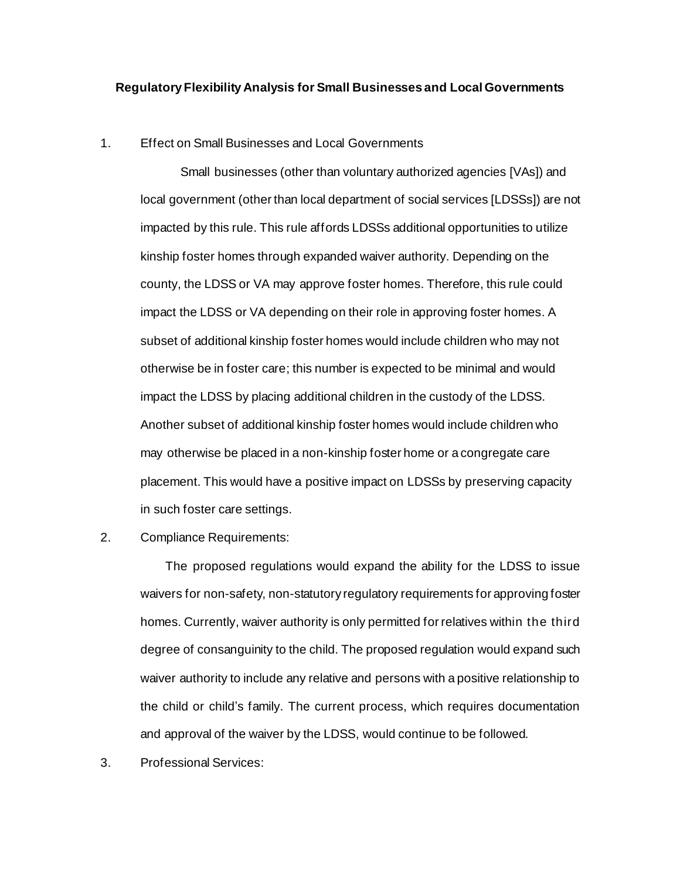## **Regulatory Flexibility Analysis for Small Businesses and Local Governments**

## 1. Effect on Small Businesses and Local Governments

Small businesses (other than voluntary authorized agencies [VAs]) and local government (other than local department of social services [LDSSs]) are not impacted by this rule. This rule affords LDSSs additional opportunities to utilize kinship foster homes through expanded waiver authority. Depending on the county, the LDSS or VA may approve foster homes. Therefore, this rule could impact the LDSS or VA depending on their role in approving foster homes. A subset of additional kinship foster homes would include children who may not otherwise be in foster care; this number is expected to be minimal and would impact the LDSS by placing additional children in the custody of the LDSS. Another subset of additional kinship foster homes would include children who may otherwise be placed in a non-kinship foster home or a congregate care placement. This would have a positive impact on LDSSs by preserving capacity in such foster care settings.

## 2. Compliance Requirements:

 The proposed regulations would expand the ability for the LDSS to issue waivers for non-safety, non-statutory regulatory requirements for approving foster homes. Currently, waiver authority is only permitted for relatives within the third degree of consanguinity to the child. The proposed regulation would expand such waiver authority to include any relative and persons with a positive relationship to the child or child's family. The current process, which requires documentation and approval of the waiver by the LDSS, would continue to be followed.

3. Professional Services: